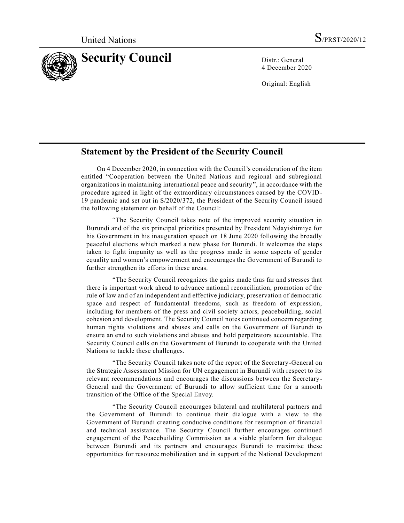

4 December 2020

Original: English

## **Statement by the President of the Security Council**

On 4 December 2020, in connection with the Council's consideration of the item entitled "Cooperation between the United Nations and regional and subregional organizations in maintaining international peace and security", in accordance with the procedure agreed in light of the extraordinary circumstances caused by the COVID-19 pandemic and set out in S/2020/372, the President of the Security Council issued the following statement on behalf of the Council:

"The Security Council takes note of the improved security situation in Burundi and of the six principal priorities presented by President Ndayishimiye for his Government in his inauguration speech on 18 June 2020 following the broadly peaceful elections which marked a new phase for Burundi. It welcomes the steps taken to fight impunity as well as the progress made in some aspects of gender equality and women's empowerment and encourages the Government of Burundi to further strengthen its efforts in these areas.

"The Security Council recognizes the gains made thus far and stresses that there is important work ahead to advance national reconciliation, promotion of the rule of law and of an independent and effective judiciary, preservation of democratic space and respect of fundamental freedoms, such as freedom of expression, including for members of the press and civil society actors, peacebuilding, social cohesion and development. The Security Council notes continued concern regarding human rights violations and abuses and calls on the Government of Burundi to ensure an end to such violations and abuses and hold perpetrators accountable. The Security Council calls on the Government of Burundi to cooperate with the United Nations to tackle these challenges.

"The Security Council takes note of the report of the Secretary-General on the Strategic Assessment Mission for UN engagement in Burundi with respect to its relevant recommendations and encourages the discussions between the Secretary-General and the Government of Burundi to allow sufficient time for a smooth transition of the Office of the Special Envoy.

"The Security Council encourages bilateral and multilateral partners and the Government of Burundi to continue their dialogue with a view to the Government of Burundi creating conducive conditions for resumption of financial and technical assistance. The Security Council further encourages continued engagement of the Peacebuilding Commission as a viable platform for dialogue between Burundi and its partners and encourages Burundi to maximise these opportunities for resource mobilization and in support of the National Development